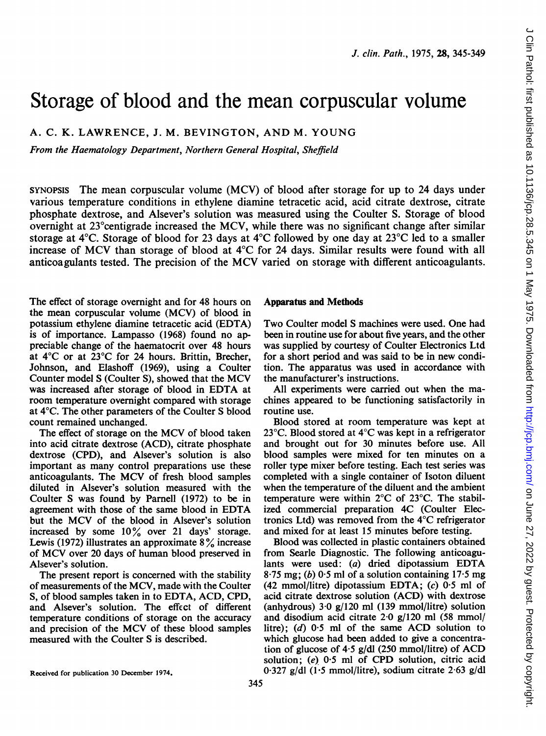# Storage of blood and the mean corpuscular volume

A. C. K. LAWRENCE, J. M. BEVINGTON, AND M. YOUNG

From the Haematology Department, Northern General Hospital, Sheffield

SYNOPSIS The mean corpuscular volume (MCV) of blood after storage for up to 24 days under various temperature conditions in ethylene diamine tetracetic acid, acid citrate dextrose, citrate phosphate dextrose, and Alsever's solution was measured using the Coulter S. Storage of blood overnight at 23°centigrade increased the MCV, while there was no significant change after similar storage at 4°C. Storage of blood for 23 days at 4°C followed by one day at 23°C led to a smaller increase of MCV than storage of blood at 4°C for <sup>24</sup> days. Similar results were found with all anticoagulants tested. The precision of the MCV varied on storage with different anticoagulants.

The effect of storage overnight and for 48 hours on the mean corpuscular volume (MCV) of blood in potassium ethylene diamine tetracetic acid (EDTA) is of importance. Lampasso (1968) found no appreciable change of the haematocrit over 48 hours at 4°C or at 23°C for 24 hours. Brittin, Brecher, Johnson, and Elashoff (1969), using a Coulter Counter model <sup>S</sup> (Coulter S), showed that the MCV was increased after storage of blood in EDTA at room temperature overnight compared with storage at 4°C. The other parameters of the Coulter S blood count remained unchanged.

The effect of storage on the MCV of blood taken into acid citrate dextrose (ACD), citrate phosphate dextrose (CPD), and Alsever's solution is also important as many control preparations use these anticoagulants. The MCV of fresh blood samples diluted in Alsever's solution measured with the Coulter S was found by Parnell (1972) to be in agreement with those of the same blood in EDTA but the MCV of the blood in Alsever's solution increased by some  $10\%$  over 21 days' storage. Lewis (1972) illustrates an approximate  $8\%$  increase of MCV over <sup>20</sup> days of human blood preserved in Alsever's solution.

The present report is concerned with the stability of measurements of the MCV, made with the Coulter S, of blood samples taken in to EDTA, ACD, CPD, and Alsever's solution. The effect of different temperature conditions of storage on the accuracy and precision of the MCV of these blood samples measured with the Coulter S is described.

### Apparatus and Methods

Two Coulter model S machines were used. One had been in routine use for about five years, and the other was supplied by courtesy of Coulter Electronics Ltd for a short period and was said to be in new condition. The apparatus was used in accordance with the manufacturer's instructions.

All experiments were carried out when the machines appeared to be functioning satisfactorily in routine use.

Blood stored at room temperature was kept at 23°C. Blood stored at 4°C was kept in a refrigerator and brought out for 30 minutes before use. All blood samples were mixed for ten minutes on a roller type mixer before testing. Each test series was completed with a single container of Isoton diluent when the temperature of the diluent and the ambient temperature were within 2°C of 23°C. The stabilized commercial preparation 4C (Coulter Electronics Ltd) was removed from the 4°C refrigerator and mixed for at least 15 minutes before testing.

Blood was collected in plastic containers obtained from Searle Diagnostic. The following anticoagulants were used: (a) dried dipotassium EDTA 8.75 mg; (b)  $0.5$  ml of a solution containing 17.5 mg (42 mmol/litre) dipotassium EDTA;  $(c)$  0.5 ml of acid citrate dextrose solution (ACD) with dextrose (anhydrous) 3-0 g/120 ml (139 mmol/litre) solution and disodium acid citrate 2-0 g/120 ml (58 mmol/ litre); (d) 0-5 ml of the same ACD solution to which glucose had been added to give a concentration of glucose of 4-5 g/dl (250 mmol/litre) of ACD solution; (e) 0-5 ml of CPD solution, citric acid 0-327 g/dl (1-5 mmol/litre), sodium citrate 2-63 g/dl

Received for publication 30 December 1974.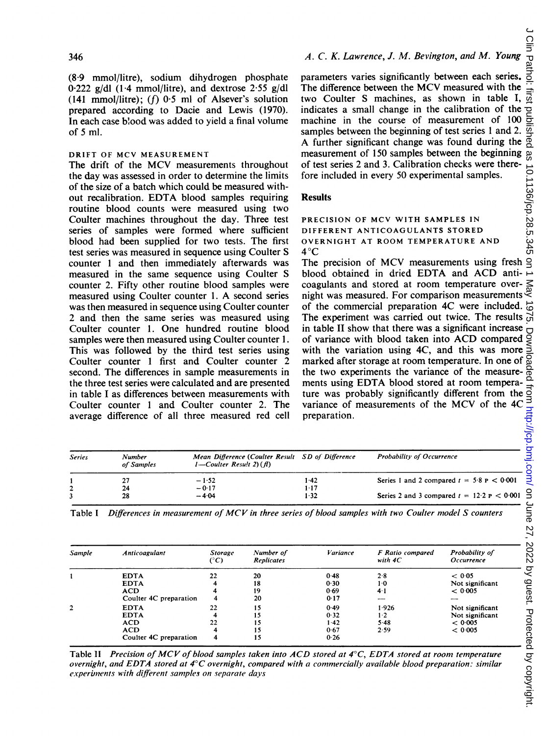(8-9 mmol/litre), sodium dihydrogen phosphate  $0.222$  g/dl (1.4 mmol/litre), and dextrose 2.55 g/dl (141 mmol/litre);  $(f)$  0.5 ml of Alsever's solution prepared according to Dacie and Lewis (1970). In each case blood was added to yield a final volume of 5 ml.

## DRIFT OF MCV MEASUREMENT

The drift of the MCV measurements throughout the day was assessed in order to determine the limits of the size of a batch which could be measured without recalibration. EDTA blood samples requiring routine blood counts were measured using two Coulter machines throughout the day. Three test series of samples were formed where sufficient blood had been supplied for two tests. The first test series was measured in sequence using Coulter S counter <sup>1</sup> and then immediately afterwards was measured in the same sequence using Coulter S counter 2. Fifty other routine blood samples were measured using Coulter counter 1. A second series was then measured in sequence using Coulter counter 2 and then the same series was measured using Coulter counter 1. One hundred routine blood samples were then measured using Coulter counter 1. This was followed by the third test series using Coulter counter <sup>1</sup> first and Coulter counter 2 second. The differences in sample measurements in the three test series were calculated and are presented in table <sup>I</sup> as differences between measurements with Coulter counter <sup>1</sup> and Coulter counter 2. The average difference of all three measured red cell

# A. C. K. Lawrence, J. M. Bevington, and M. Young

parameters varies significantly between each series. The difference between the MCV measured with the two Coulter S machines, as shown in table I, indicates a small change in the calibration of the machine in the course of measurement of 100 samples between the beginning of test series <sup>1</sup> and 2. A further significant change was found during the measurement of 150 samples between the beginning of test series 2 and 3. Calibration checks were therefore included in every 50 experimental samples.

# Results

PRECISION OF MCV WITH SAMPLES IN DIFFERENT ANTICOAGULANTS STORED OVERNIGHT AT ROOM TEMPERATURE AND  $4^{\circ}C$ 

The precision of MCV measurements using fresh  $\frac{1}{5}$ blood obtained in dried EDTA and ACD anticoagulants and stored at room temperature overnight was measured. For comparison measurements of the commercial preparation 4C were included. The experiment was carried out twice. The results  $\vec{G}$ in table II show that there was a significant increase  $\overline{O}$  of variance with blood taken into ACD compared  $\leq$  with the variation using 4C, and this was more  $\leq$ of variance with blood taken into ACD compared with the variation using 4C, and this was more marked after storage at room temperature. In one of  $\overline{8}$ <br>the two experiments the variance of the measure- $\overline{6}$ <br>mants using EDTA blood stored at room tempera. the two experiments the variance of the measureture was probably significantly different from the variance of measurements of the MCV of the 4C preparation.

| <b>Series</b> | Number<br>of Samples | Mean Difference (Coulter Result SD of Difference<br>$1$ -Coulter Result 2) (f) |        | <b>Probability of Occurrence</b>                |  |  |
|---------------|----------------------|--------------------------------------------------------------------------------|--------|-------------------------------------------------|--|--|
|               | 27                   | $-1.52$                                                                        | 1-42   | Series 1 and 2 compared $t = 5.8$ P $\lt 0.001$ |  |  |
|               | 24                   | $-0.17$                                                                        | $1-17$ |                                                 |  |  |
|               | 28                   | $-4.04$                                                                        | 1.32   | Series 2 and 3 compared $t = 12.2$ P $< 0.001$  |  |  |

| <b>Series</b>                           | <b>Number</b><br>of Samples | $1$ -Coulter Result 2) $(f)$    |                                | Mean Difference (Coulter Result SD of Difference | Probability of Occurrence                      |                              |
|-----------------------------------------|-----------------------------|---------------------------------|--------------------------------|--------------------------------------------------|------------------------------------------------|------------------------------|
| 1                                       | $-1.52$<br>27               |                                 |                                | 1.42                                             | Series 1 and 2 compared $t = 5.8$ P $< 0.001$  |                              |
| $\overline{\mathbf{c}}$<br>3            | 24<br>28                    | $-0.17$<br>$-4.04$              |                                | $1 - 17$<br>1.32                                 | Series 2 and 3 compared $t = 12.2$ P $< 0.001$ |                              |
|                                         |                             |                                 |                                |                                                  |                                                |                              |
| Sample                                  | Anticoagulant               | <b>Storage</b><br>$(^{\circ}C)$ | Number of<br><b>Replicates</b> | Variance                                         | F Ratio compared<br>with 4C                    | Probability of<br>Occurrence |
|                                         | <b>EDTA</b>                 | 22                              | 20                             | 0.48                                             | 2.8                                            | < 0.05                       |
|                                         | <b>EDTA</b>                 |                                 | 18                             | 0.30                                             | $1-0$                                          | Not significant              |
|                                         | <b>ACD</b>                  | 4                               | 19                             | 0.69                                             | $4-1$                                          | < 0.005                      |
|                                         | Coulter 4C preparation      |                                 | 20                             | 0.17                                             |                                                |                              |
|                                         | <b>EDTA</b>                 | 22<br>4                         | 15                             | 0.49                                             | 1.926                                          | Not significant              |
|                                         | <b>EDTA</b><br><b>ACD</b>   | 22                              | 15<br>15                       | 0.32<br>1.42                                     | $1-2$<br>5.48                                  | Not significant<br>< 0.005   |
| $\mathbf{1}$<br>$\overline{\mathbf{2}}$ | <b>ACD</b>                  |                                 | 15                             | 0.67                                             | 2.59                                           | < 0.005                      |

Table I Differences in measurement of MCV in three series of blood samples with two Coulter model S counters

Table II Precision of MCV of blood samples taken into ACD stored at  $4^{\circ}$ C, EDTA stored at room temperature overnight, and EDTA stored at 4°C overnight, compared with <sup>a</sup> commercially available blood preparation: similar experiments with different samples on separate days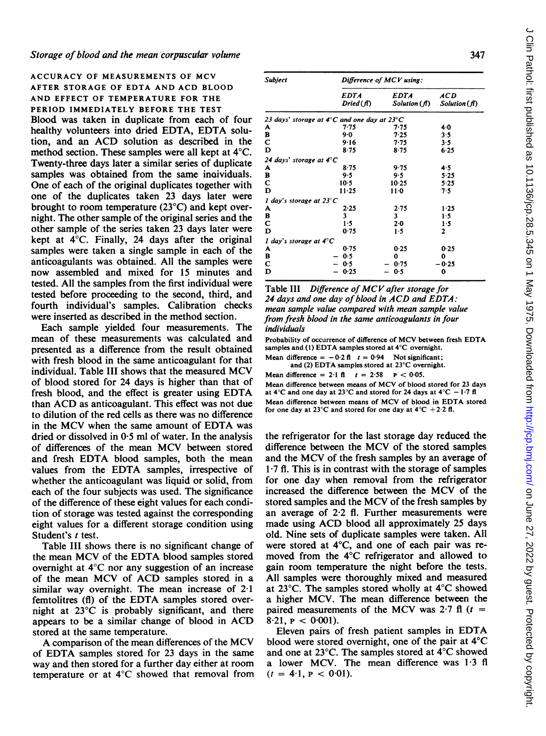ACCURACY OF MEASUREMENTS OF MCV AFTER STORAGE OF EDTA AND ACD BLOOD AND EFFECT OF TEMPERATURE FOR THE PERIOD IMMEDIATELY BEFORE THE TEST Blood was taken in duplicate from each of four healthy volunteers into dried EDTA, EDTA solution, and an ACD solution as described in the method section. These samples were all kept at 4°C. Twenty-three days later a similar series of duplicate samples was obtained from the same inaividuals. One of each of the original duplicates together with one of the duplicates taken 23 days later were brought to room temperature (23°C) and kept overnight. The other sample of the original series and the other sample of the series taken 23 days later were kept at 4°C. Finally, 24 days after the original samples were taken a single sample in each of the anticoagulants was obtained. All the samples were now assembled and mixed for 15 minutes and tested. All the samples from the first individual were tested before proceeding to the second, third, and fourth individual's samples. Calibration checks were inserted as described in the method section.

Each sample yielded four measurements. The mean of these measurements was calculated and presented as a difference from the result obtained with fresh blood in the same anticoagulant for that individual. Table III shows that the measured MCV of blood stored for 24 days is higher than that of fresh blood, and the effect is greater using EDTA than ACD as anticoagulant. This effect was not due to dilution of the red cells as there was no difference in the MCV when the same amount of EDTA was dried or dissolved in  $0.5$  ml of water. In the analysis of differences of the mean MCV between stored and fresh EDTA blood samples, both the mean values from the EDTA samples, irrespective of whether the anticoagulant was liquid or solid, from each of the four subjects was used. The significance of the difference of these eight values for each condition of storage was tested against the corresponding eight values for a different storage condition using Student's t test.

Table III shows there is no significant change of the mean MCV of the EDTA blood samples stored overnight at 4°C nor any suggestion of an increase of the mean MCV of ACD samples stored in <sup>a</sup> similar way overnight. The mean increase of 2-1 femtolitres (fl) of the EDTA samples stored overnight at 23°C is probably significant, and there appears to be <sup>a</sup> similar change of blood in ACD stored at the same temperature.

A comparison of the mean differences of the MCV of EDTA samples stored for <sup>23</sup> days in the same way and then stored for a further day either at room temperature or at 4°C showed that removal from

| <b>Subject</b>                     | Difference of MCV using:                                     |                            |                    |  |  |
|------------------------------------|--------------------------------------------------------------|----------------------------|--------------------|--|--|
|                                    | <b>EDTA</b><br>Dried (fl)                                    | <b>EDTA</b><br>Solution(f) | ACD<br>Solution(f) |  |  |
|                                    | 23 days' storage at $4^\circ$ C and one day at 23 $^\circ$ C |                            |                    |  |  |
| A                                  | 7.75                                                         | 7-75                       | 40                 |  |  |
| в                                  | $9 - 0$                                                      | 7.25                       | 3.5                |  |  |
| С                                  | 9.16                                                         | 7.75                       | $3 - 5$            |  |  |
| D                                  | 8.75                                                         | 8.75                       | 6.25               |  |  |
| 24 days' storage at $4^\circ C$    |                                                              |                            |                    |  |  |
| A                                  | 8.75                                                         | 9.75                       | 4.5                |  |  |
| в                                  | 9.5                                                          | 9.5                        | 5.25               |  |  |
| с                                  | $10-5$                                                       | 10.25                      | 5.25               |  |  |
| D                                  | 11.25                                                        | $11-0$                     | 7.5                |  |  |
| 1 day's storage at 23 $^{\circ}$ C |                                                              |                            |                    |  |  |
| A                                  | 2.25                                                         | 2.75                       | 1.25               |  |  |
| в                                  | 3                                                            | 3                          | 1.5                |  |  |
| C                                  | $1-5$                                                        | $2 - 0$                    | 1.5                |  |  |
| D                                  | 0.75                                                         | $1-5$                      | 2                  |  |  |
| 1 day's storage at $4^\circ$ C     |                                                              |                            |                    |  |  |
| A                                  | 0.75                                                         | 0.25                       | 0.25               |  |  |
| в                                  | 0.5                                                          | 0                          | 0                  |  |  |
| С                                  | 0.5                                                          | 0.75                       | - 0-25             |  |  |
| D                                  | 0.25                                                         | 0.5                        | 0                  |  |  |

Table III Difference of MCV after storage for <sup>24</sup> days and one day of blood in ACD and EDTA: mean sample value compared with mean sample value from fresh blood in the same anticoagulants in four individuals

Probability of occurrence of difference of MCV between fresh EDTA samples and (1) EDTA samples stored at 4°C overnight.

Mean difference =  $-0.2$  fl  $t = 0.94$  Not significant; and (2) EDTA samples stored at 23°C overnight.

Mean difference =  $2.1$  fl  $t = 2.58$   $p < 0.05$ . Mean difference between means of MCV of blood stored for <sup>23</sup> days at 4°C and one day at 23°C and stored for 24 days at 4°C - 1.7 fl

Mean difference between means of MCV of blood in EDTA stored for one day at  $23^{\circ}$ C and stored for one day at  $4^{\circ}$ C + 2.2 fl.

the refrigerator for the last storage day reduced the difference between the MCV of the stored samples and the MCV of the fresh samples by an average of 1-7 fl. This is in contrast with the storage of samples for one day when removal from the refrigerator increased the difference between the MCV of the stored samples and the MCV of the fresh samples by an average of 2-2 fl. Further measurements were made using ACD blood all approximately <sup>25</sup> days old. Nine sets of duplicate samples were taken. All were stored at 4°C, and one of each pair was removed from the 4°C refrigerator and allowed to gain room temperature the night before the tests. All samples were thoroughly mixed and measured at 23°C. The samples stored wholly at 4°C showed a higher MCV. The mean difference between the paired measurements of the MCV was  $2.7 \text{ ft}$  ( $t =$  $8.21. \text{ P} < 0.001$ .

Eleven pairs of fresh patient samples in EDTA blood were stored overnight, one of the pair at 4°C and one at 23°C. The samples stored at 4°C showed a lower MCV. The mean difference was 1-3 fl  $(t = 4.1, p < 0.01)$ .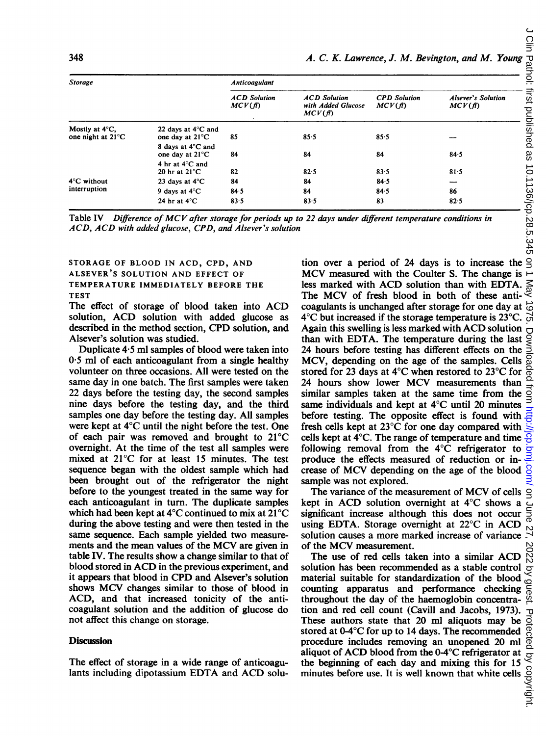| 348                                 |                                            |                               |                                                     |                               |                                     |
|-------------------------------------|--------------------------------------------|-------------------------------|-----------------------------------------------------|-------------------------------|-------------------------------------|
|                                     |                                            |                               |                                                     |                               |                                     |
|                                     |                                            |                               | A. C. K. Lawrence, J. M. Bevington, and M. Young    |                               |                                     |
| <b>Storage</b>                      |                                            | <b>Anticoagulant</b>          |                                                     |                               |                                     |
|                                     |                                            | <b>ACD</b> Solution<br>MCV(f) | <b>ACD</b> Solution<br>with Added Glucose<br>MCV(f) | <b>CPD</b> Solution<br>MCV(f) | <b>Alsever's Solution</b><br>MCV(f) |
| Mostly at 4°C,<br>one night at 21°C | 22 days at 4°C and<br>one day at 21°C      | 85                            | 85.5                                                | 85.5                          |                                     |
|                                     | 8 days at 4°C and<br>one day at 21°C       | 84                            | 84                                                  | 84                            | 84.5                                |
|                                     | 4 hr at 4°C and<br>20 hr at $21^{\circ}$ C | 82                            | 82.5                                                | 83.5                          | 81.5                                |
| 4°C without                         | 23 days at 4°C                             | 84                            | 84                                                  | 84.5                          | ┈                                   |
| interruption                        | 9 days at $4^{\circ}$ C                    | 84.5                          | 84                                                  | 84.5                          | 86                                  |
|                                     |                                            |                               |                                                     |                               |                                     |

Table IV Difference of MCV after storage for periods up to <sup>22</sup> days under different temperature conditions in ACD, ACD with added glucose, CPD, and Alsever's solution

STORAGE OF BLOOD IN ACD, CPD, AND ALSEVER'S SOLUTION AND EFFECT OF TEMPERATURE IMMEDIATELY BEFORE THE TEST

The effect of storage of blood taken into ACD solution, ACD solution with added glucose as described in the method section, CPD solution, and Alsever's solution was studied.

Duplicate 4-5 ml samples of blood were taken into  $0.5$  ml of each anticoagulant from a single healthy volunteer on three occasions. All were tested on the same day in one batch. The first samples were taken 22 days before the testing day, the second samples nine days before the testing day, and the third samples one day before the testing day. All samples were kept at 4°C until the night before the test. One of each pair was removed and brought to 21'C overnight. At the time of the test all samples were mixed at  $21^{\circ}$ C for at least 15 minutes. The test sequence began with the oldest sample which had been brought out of the refrigerator the night before to the youngest treated in the same way for each anticoagulant in turn. The duplicate samples which had been kept at  $4^{\circ}$ C continued to mix at  $21^{\circ}$ C during the above testing and were then tested in the same sequence. Each sample yielded two measurements and the mean values of the MCV are given in table IV. The results show a change similar to that of blood stored in ACD in the previous experiment, and it appears that blood in CPD and Alsever's solution shows MCV changes similar to those of blood in ACD, and that increased tonicity of the anticoagulant solution and the addition of glucose do not affect this change on storage.

## **Discussion**

The effect of storage in a wide range of anticoagulants including dipotassium EDTA and ACD solution over a period of 24 days is to increase the  $\frac{6}{5}$ MCV measured with the Coulter S. The change is  $\overline{\phantom{a}}$  less marked with ACD solution than with EDTA.  $\overline{\phantom{a}}$  The MCV of fresh blood in both of these anti- $\overline{\phantom{a}}$ less marked with ACD solution than with EDTA. The MCV of fresh blood in both of these anticoagulants is unchanged after storage for one day at  $4^{\circ}$ C but increased if the storage temperature is 23 $^{\circ}$ C. Again this swelling is less marked with ACD solution than with EDTA. The temperature during the last 24 hours before testing has different effects on the MCV, depending on the age of the samples. Cells stored for 23 days at  $4^{\circ}$ C when restored to 23 $^{\circ}$ C for <sup>24</sup> hours show lower MCV measurements than similar samples taken at the same time from the same individuals and kept at  $4^{\circ}$ C until 20 minutes before testing. The opposite effect is found with fresh cells kept at  $23^{\circ}$ C for one day compared with cells kept at  $4^{\circ}$ C. The range of temperature and time following removal from the  $4^{\circ}$ C refrigerator to produce the effects measured of reduction or increase of MCV depending on the age of the blood sample was not explored.

The variance of the measurement of MCV of cells kept in ACD solution overnight at  $4^{\circ}$ C shows a significant increase although this does not occur using EDTA. Storage overnight at  $22^{\circ}$ C in ACD solution causes a more marked increase of variance of the MCV measurement.

The use of red cells taken into <sup>a</sup> similar ACD solution has been recommended as a stable control material suitable for standardization of the blood counting apparatus and performance checking throughout the day of the haemoglobin concentration and red cell count (Cavill and Jacobs, 1973). These authors state that 20 ml aliquots may be stored at  $0-4$ <sup>o</sup>C for up to 14 days. The recommended procedure includes removing an unopened 20 ml aliquot of ACD blood from the  $0-4^{\circ}$ C refrigerator at the beginning of each day and mixing this for 15 minutes before use. It is well known that white cells